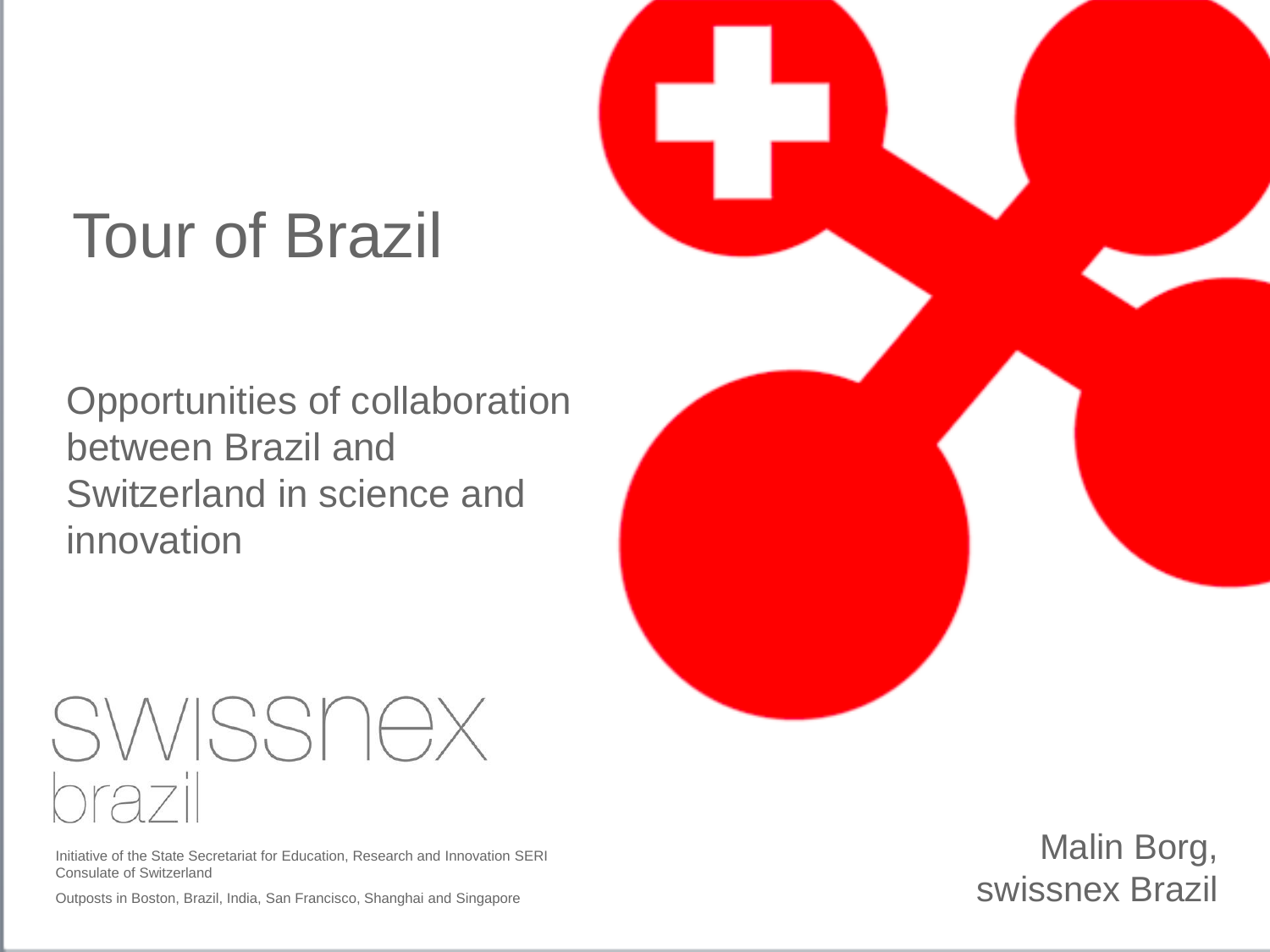## Tour of Brazil

Opportunities of collaboration between Brazil and Switzerland in science and innovation

# SWISSNEX  $\Gamma \cap$

Initiative of the State Secretariat for Education, Research and Innovation SERI Consulate of Switzerland

Outposts in Boston, Brazil, India, San Francisco, Shanghai and Singapore



Malin Borg, swissnex Brazil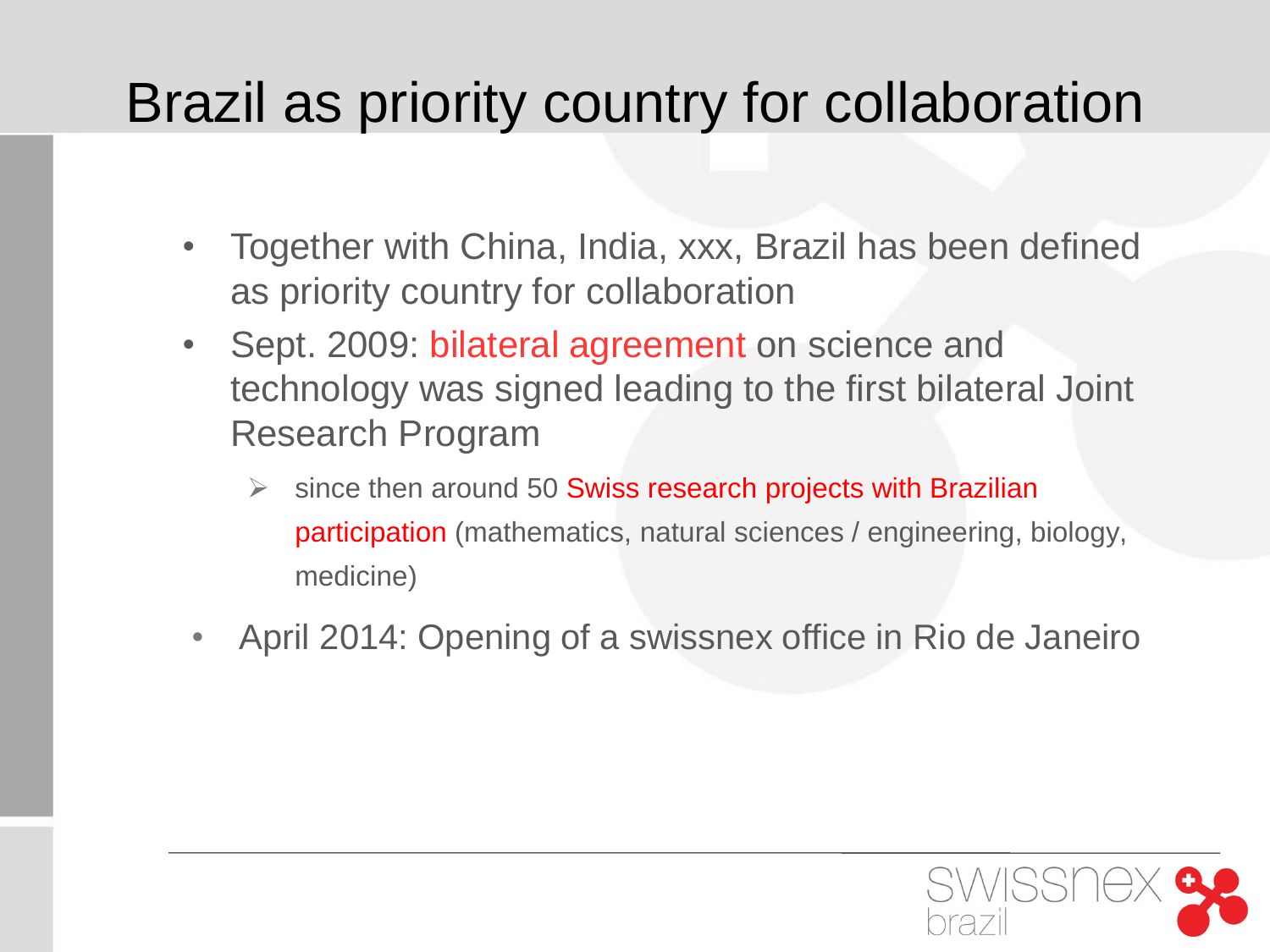## Brazil as priority country for collaboration

- Together with China, India, xxx, Brazil has been defined as priority country for collaboration
- Sept. 2009: bilateral agreement on science and technology was signed leading to the first bilateral Joint Research Program
	- $\triangleright$  since then around 50 Swiss research projects with Brazilian participation (mathematics, natural sciences / engineering, biology, medicine)
- April 2014: Opening of a swissnex office in Rio de Janeiro

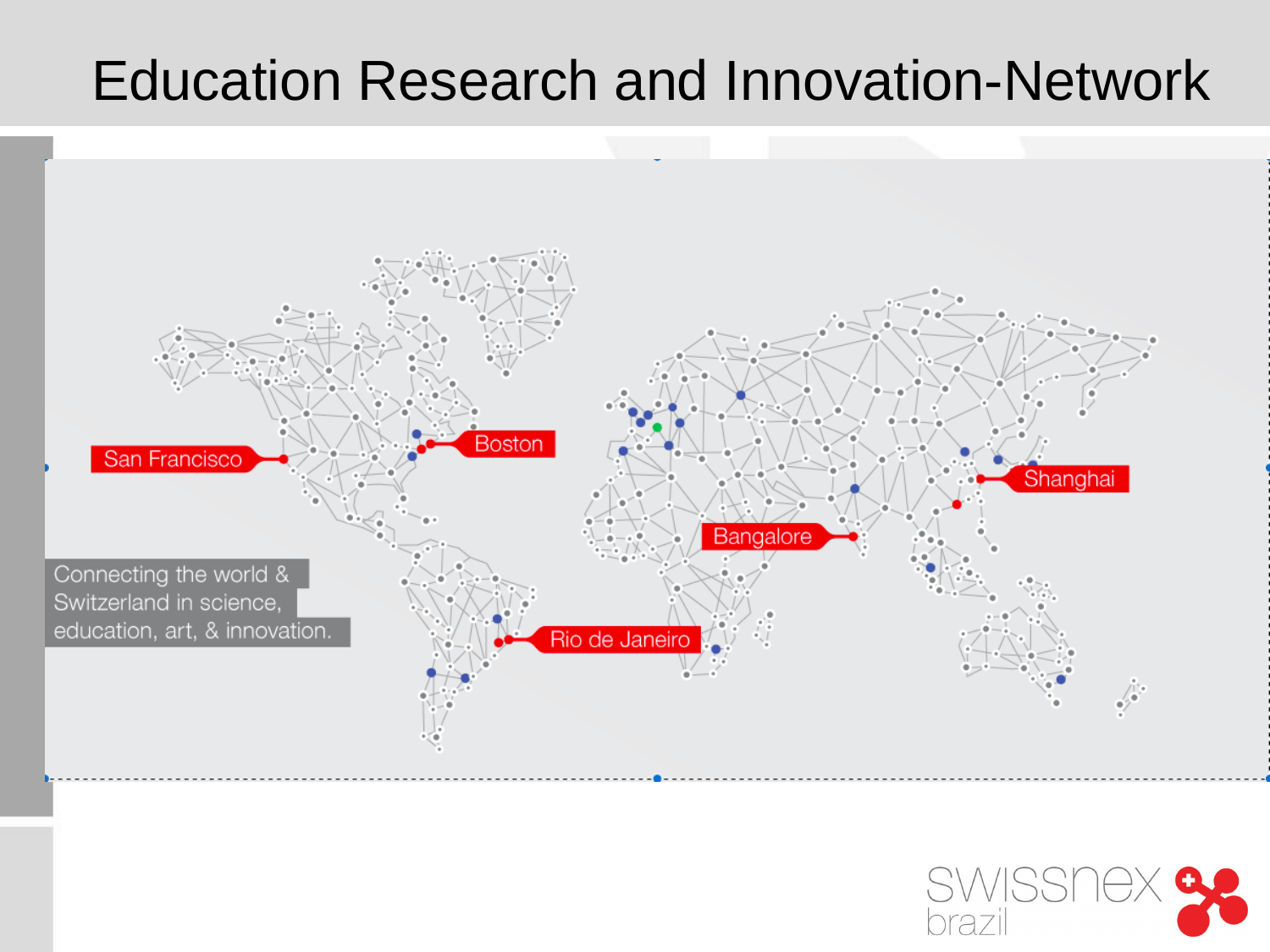### Education Research and Innovation-Network



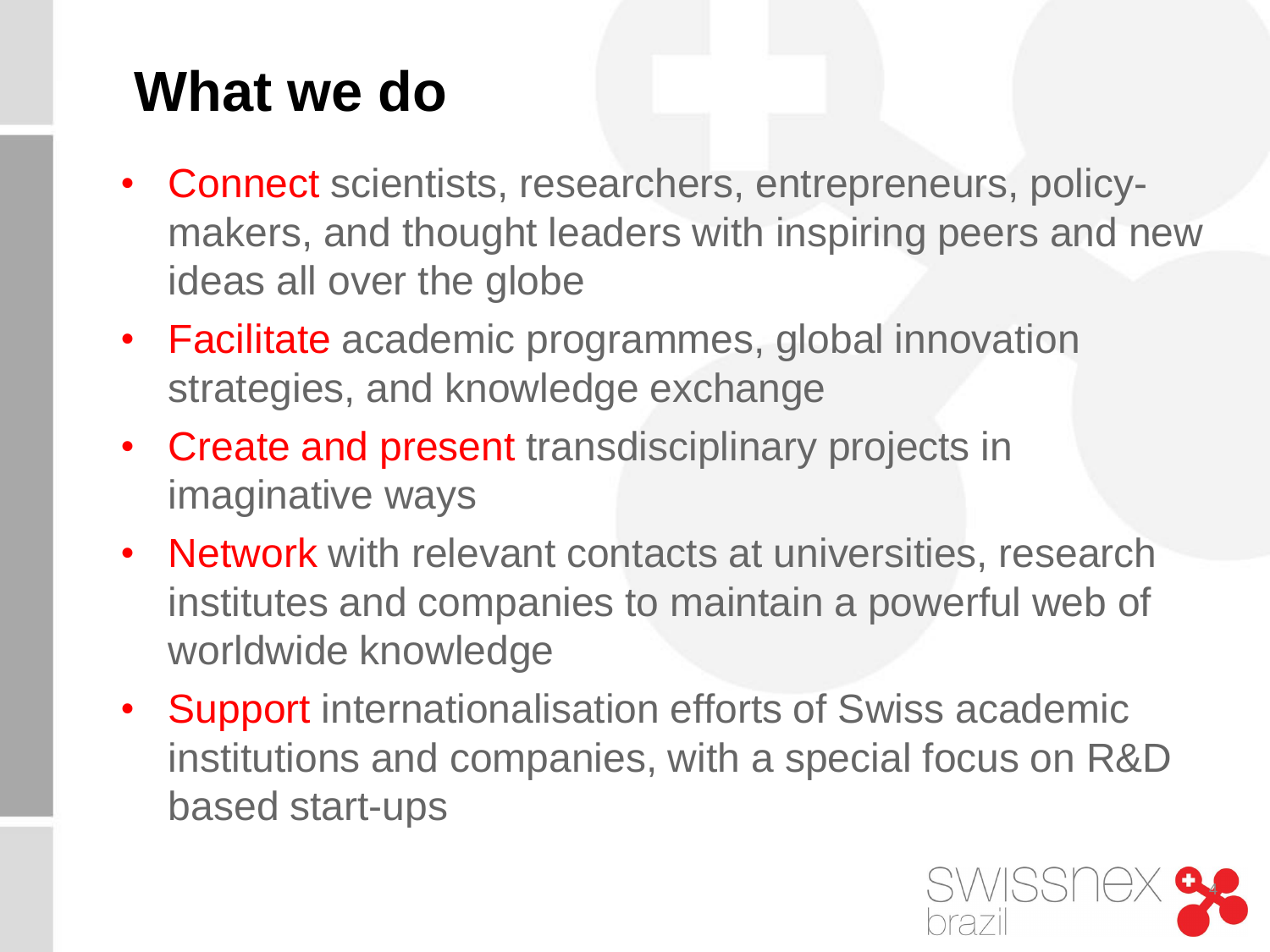## **What we do**

- Connect scientists, researchers, entrepreneurs, policymakers, and thought leaders with inspiring peers and new ideas all over the globe
- Facilitate academic programmes, global innovation strategies, and knowledge exchange
- Create and present transdisciplinary projects in imaginative ways
- Network with relevant contacts at universities, research institutes and companies to maintain a powerful web of worldwide knowledge
- Support internationalisation efforts of Swiss academic institutions and companies, with a special focus on R&D based start-ups

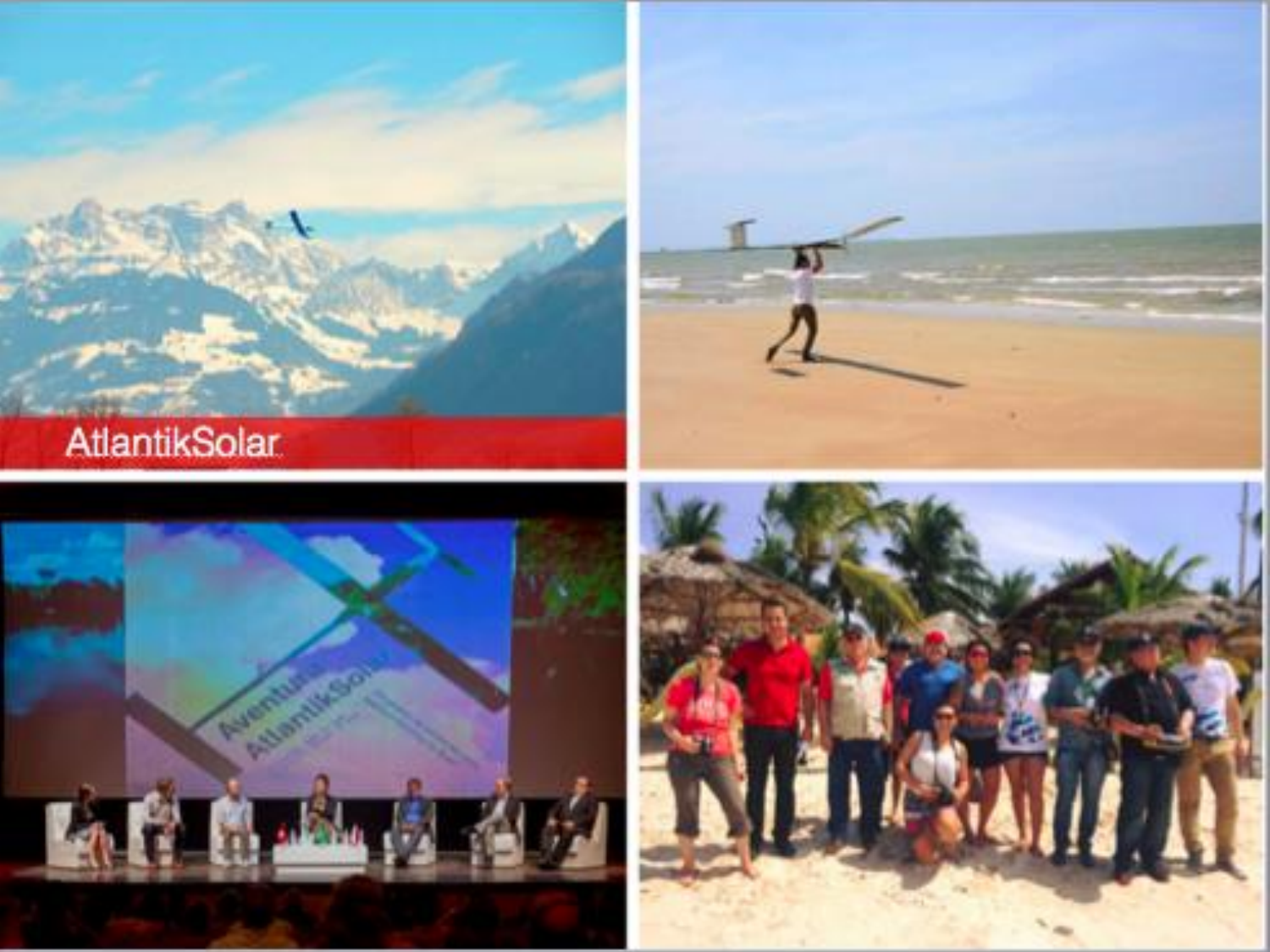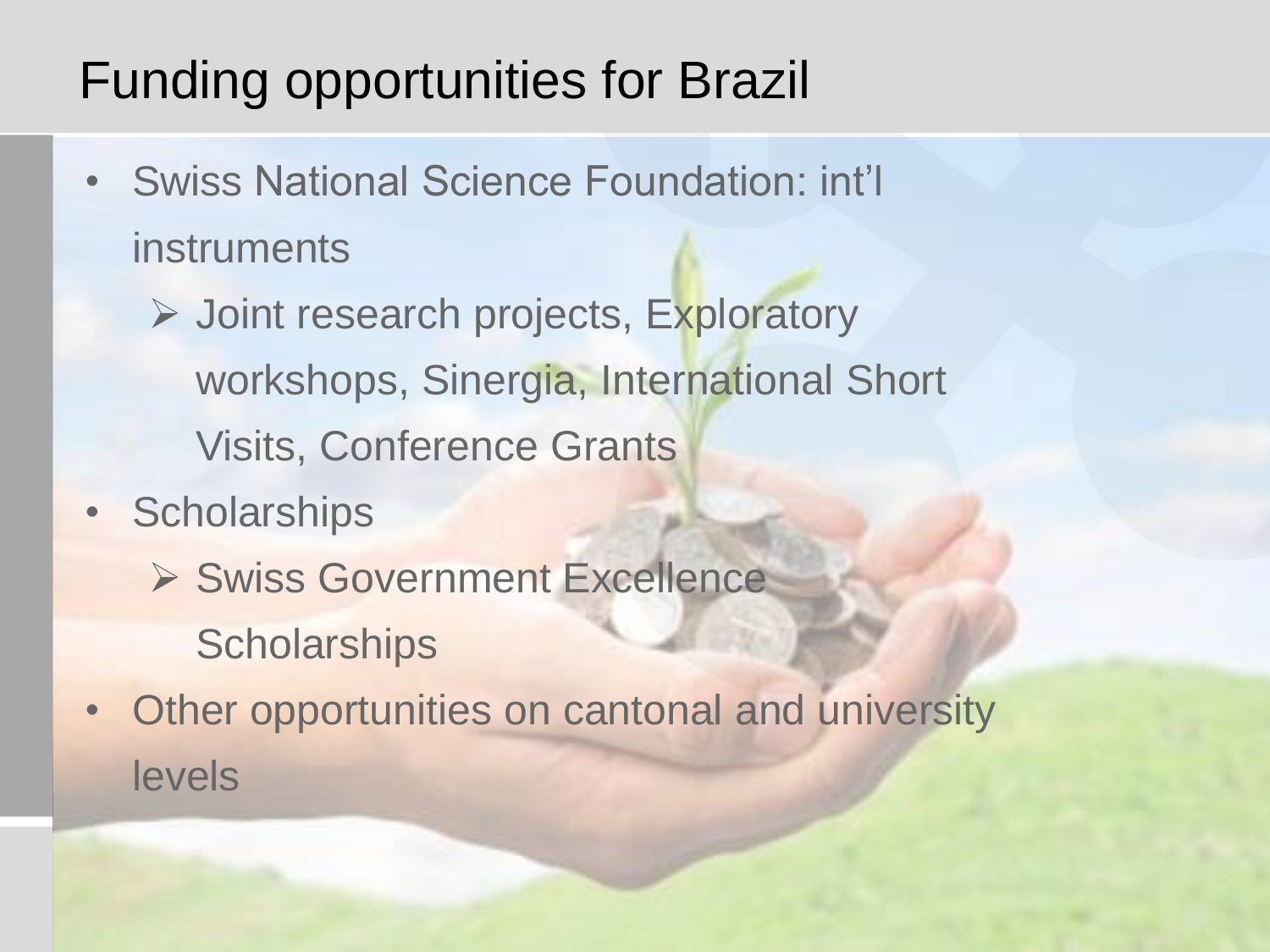### Funding opportunities for Brazil

- Swiss National Science Foundation: int'l instruments
	- **▶ Joint research projects, Exploratory** workshops, Sinergia, International Short Visits, Conference Grants
- Scholarships
	- ▶ Swiss Government Excellence **Scholarships**
- Other opportunities on cantonal and university levels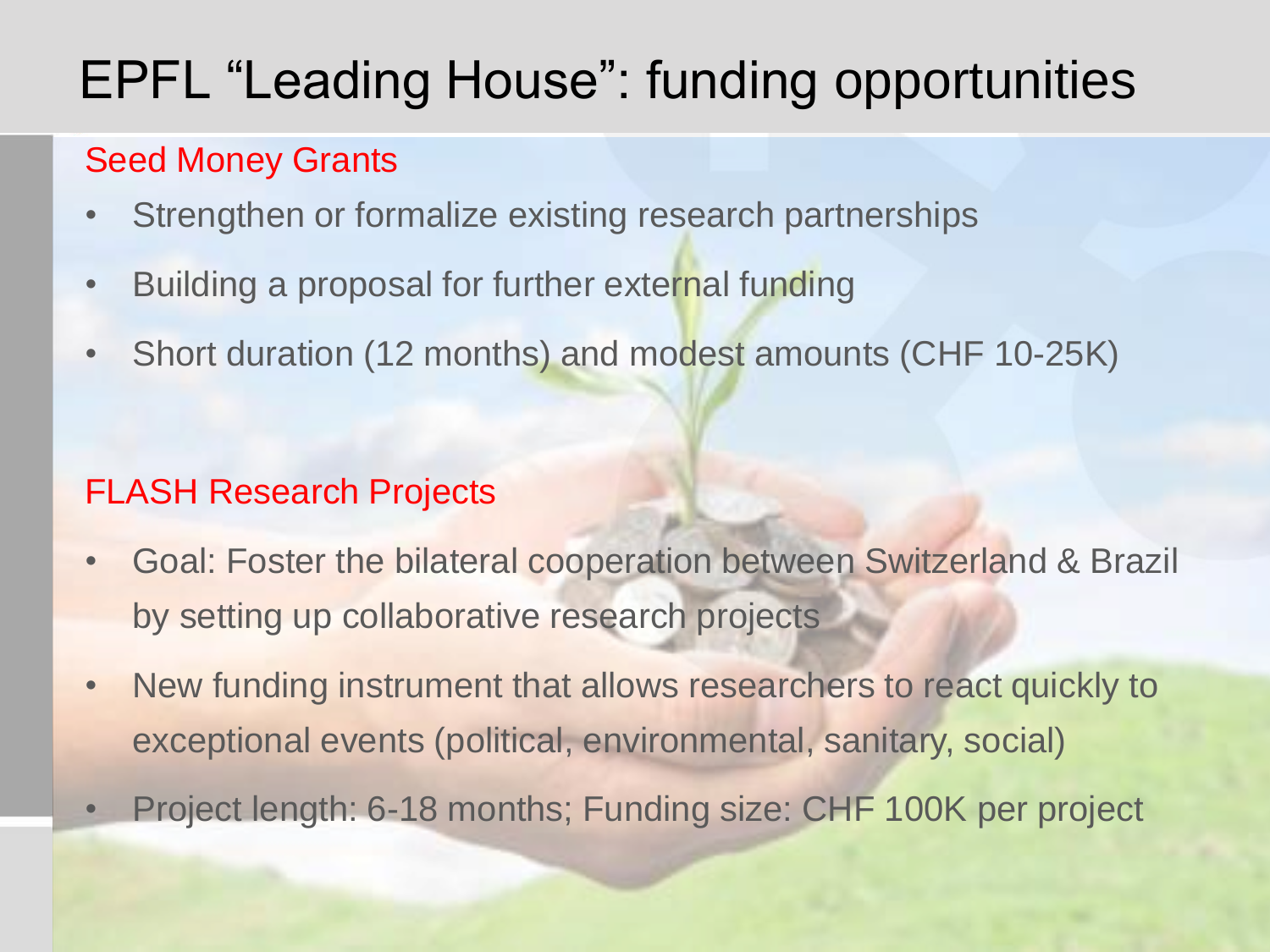## EPFL "Leading House": funding opportunities

### Seed Money Grants

- Strengthen or formalize existing research partnerships
- Building a proposal for further external funding
- Short duration (12 months) and modest amounts (CHF 10-25K)

### FLASH Research Projects

- Goal: Foster the bilateral cooperation between Switzerland & Brazil by setting up collaborative research projects
- New funding instrument that allows researchers to react quickly to exceptional events (political, environmental, sanitary, social)
- Project length: 6-18 months; Funding size: CHF 100K per project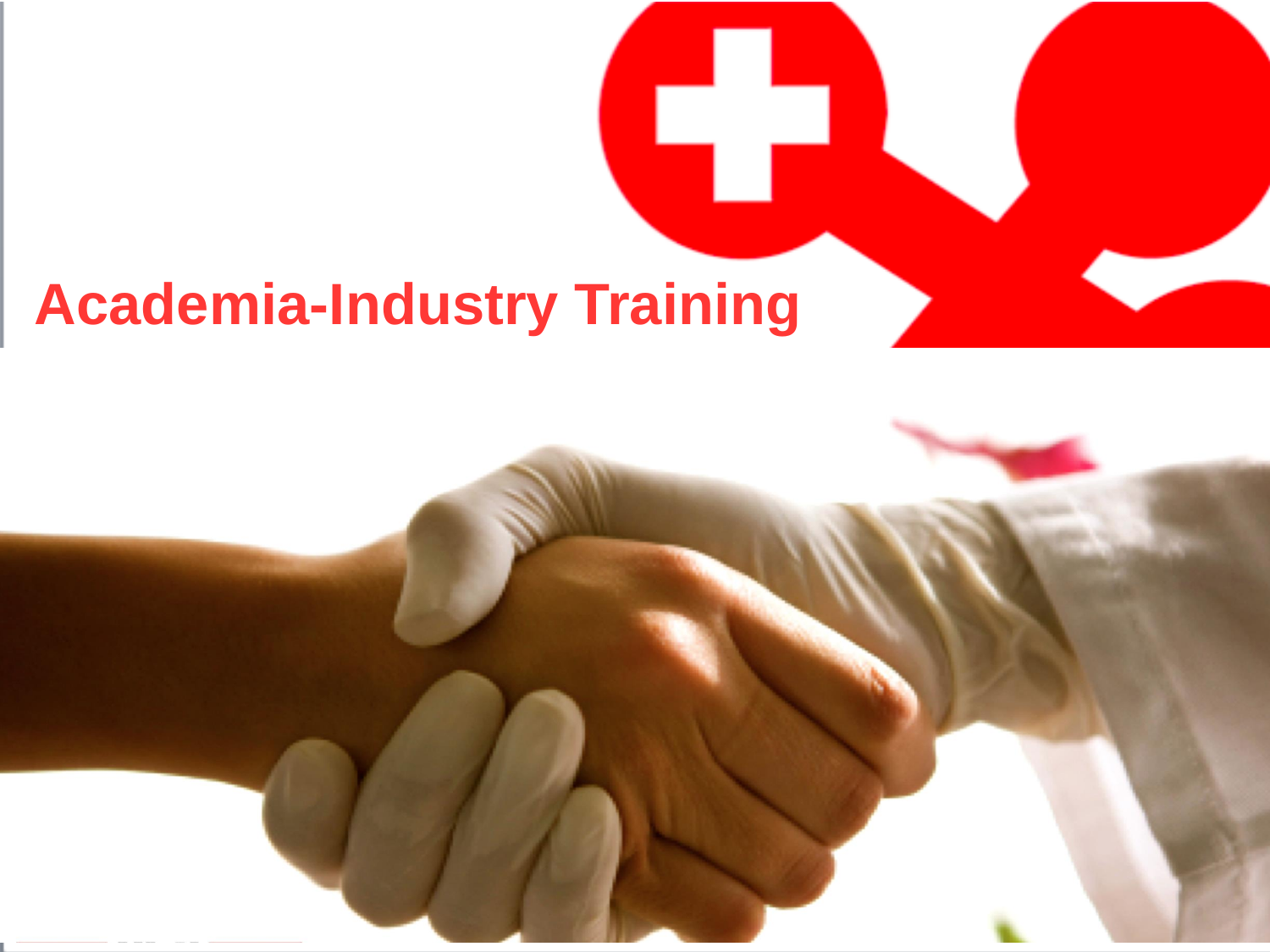## **Academia-Industry Training**

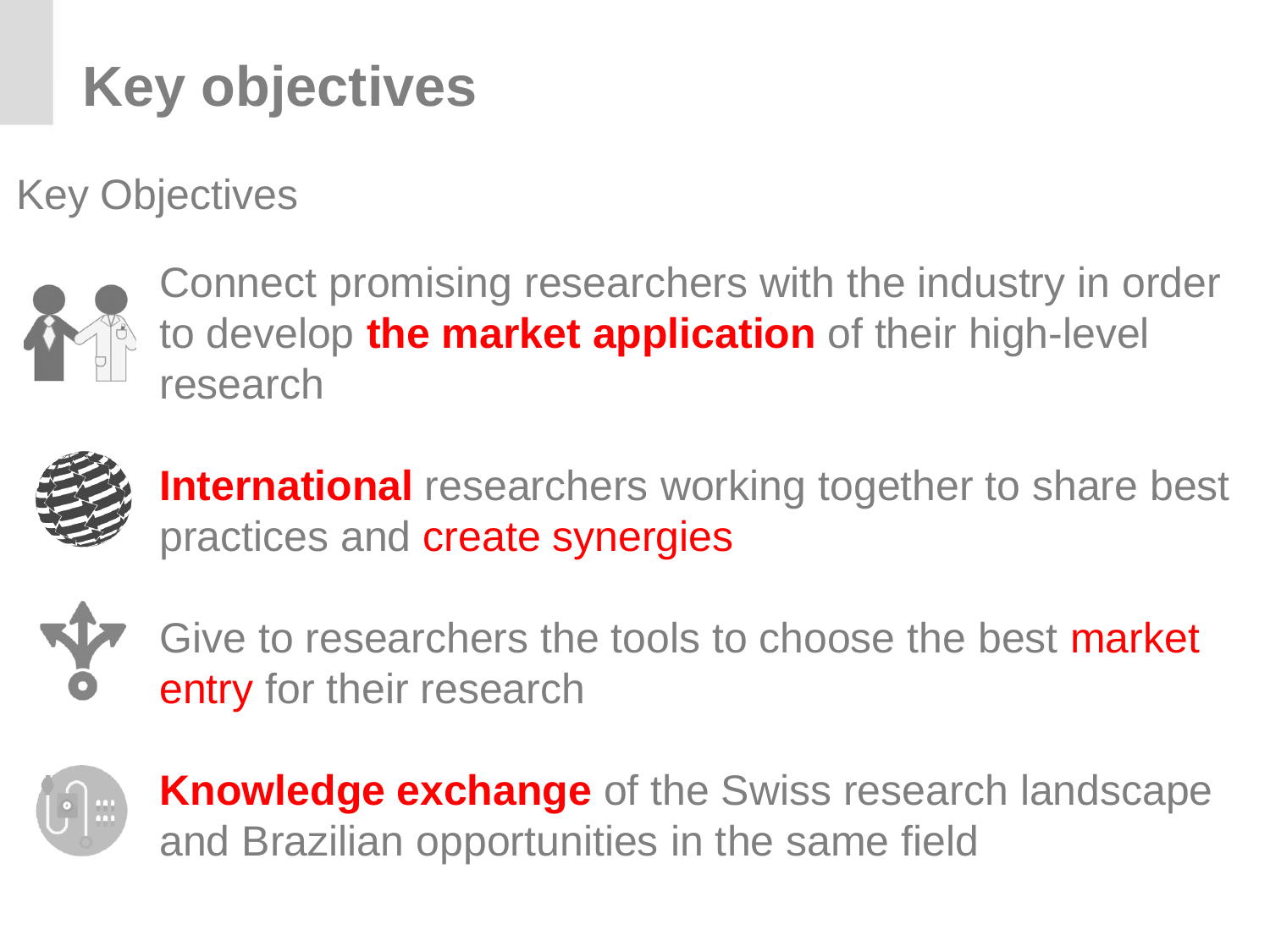## **Key objectives**

Key Objectives



Connect promising researchers with the industry in order to develop **the market application** of their high-level research



**International** researchers working together to share best practices and create synergies



Give to researchers the tools to choose the best market entry for their research



**Knowledge exchange** of the Swiss research landscape and Brazilian opportunities in the same field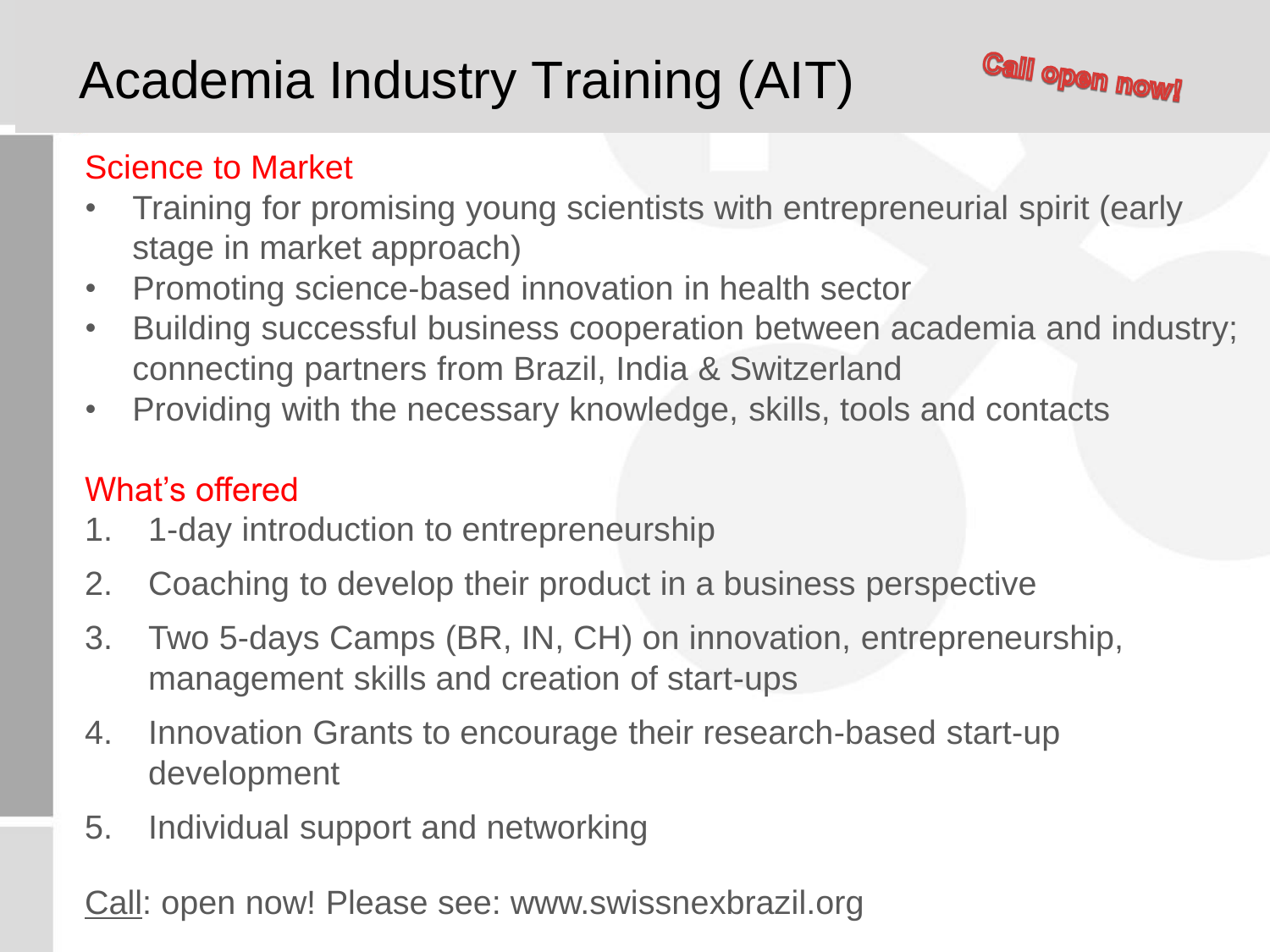## Academia Industry Training (AIT)



#### Science to Market

- Training for promising young scientists with entrepreneurial spirit (early stage in market approach)
- Promoting science-based innovation in health sector
- Building successful business cooperation between academia and industry; connecting partners from Brazil, India & Switzerland
- Providing with the necessary knowledge, skills, tools and contacts

#### What's offered

- 1. 1-day introduction to entrepreneurship
- 2. Coaching to develop their product in a business perspective
- 3. Two 5-days Camps (BR, IN, CH) on innovation, entrepreneurship, management skills and creation of start-ups
- 4. Innovation Grants to encourage their research-based start-up development
- 5. Individual support and networking

Call: open now! Please see: www.swissnexbrazil.org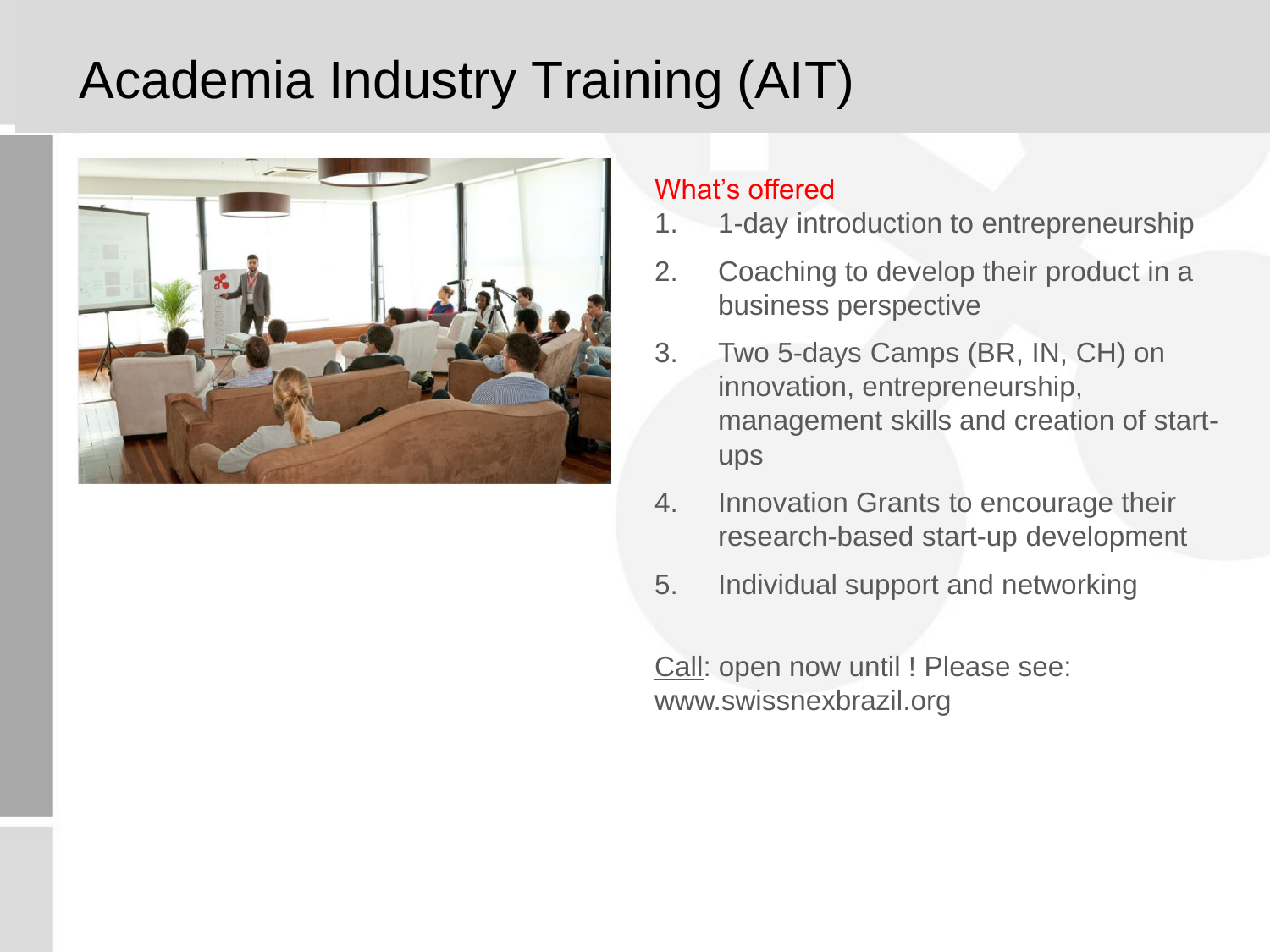### Academia Industry Training (AIT)



#### What's offered

- 1. 1-day introduction to entrepreneurship
- 2. Coaching to develop their product in a business perspective
- 3. Two 5-days Camps (BR, IN, CH) on innovation, entrepreneurship, management skills and creation of startups
- 4. Innovation Grants to encourage their research-based start-up development
- 5. Individual support and networking

Call: open now until ! Please see: www.swissnexbrazil.org